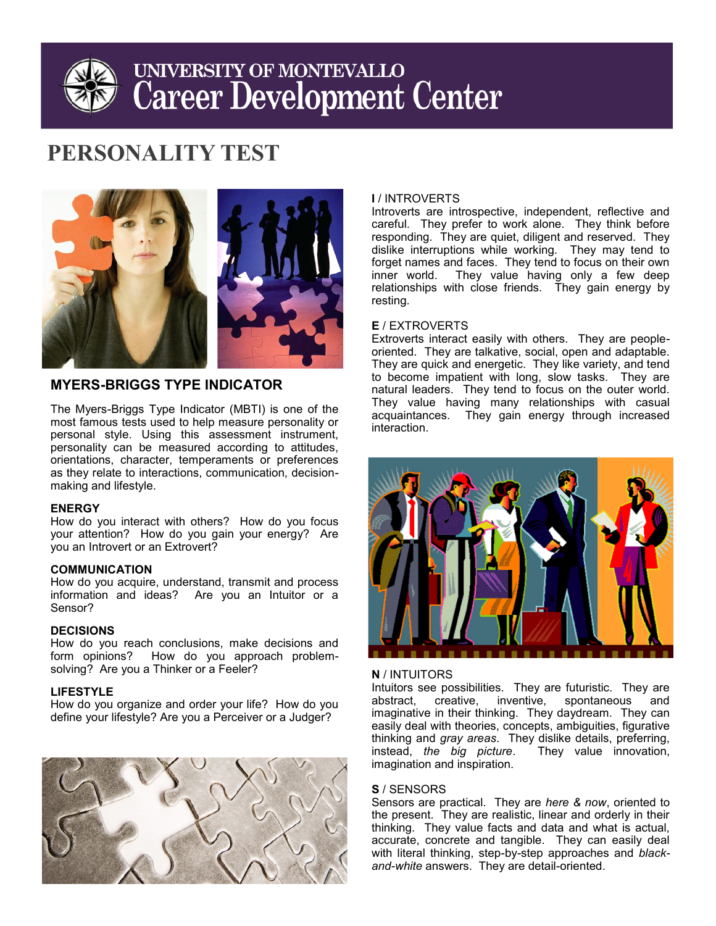# UNIVERSITY OF MONTEVALLO **Career Development Center**

## **PERSONALITY TEST**



### **MYERS-BRIGGS TYPE INDICATOR**

The Myers-Briggs Type Indicator (MBTI) is one of the most famous tests used to help measure personality or personal style. Using this assessment instrument, personality can be measured according to attitudes, orientations, character, temperaments or preferences as they relate to interactions, communication, decisionmaking and lifestyle.

#### **ENERGY**

How do you interact with others? How do you focus your attention? How do you gain your energy? Are you an Introvert or an Extrovert?

#### **COMMUNICATION**

How do you acquire, understand, transmit and process information and ideas? Are you an Intuitor or a Sensor?

#### **DECISIONS**

How do you reach conclusions, make decisions and form opinions? How do you approach problemsolving? Are you a Thinker or a Feeler?

#### **LIFESTYLE**

How do you organize and order your life? How do you define your lifestyle? Are you a Perceiver or a Judger?



#### **I** / INTROVERTS

Introverts are introspective, independent, reflective and careful. They prefer to work alone. They think before responding. They are quiet, diligent and reserved. They dislike interruptions while working. They may tend to forget names and faces. They tend to focus on their own inner world. They value having only a few deep relationships with close friends. They gain energy by resting.

#### **E** / EXTROVERTS

Extroverts interact easily with others. They are peopleoriented. They are talkative, social, open and adaptable. They are quick and energetic. They like variety, and tend to become impatient with long, slow tasks. They are natural leaders. They tend to focus on the outer world. They value having many relationships with casual acquaintances. They gain energy through increased interaction.



#### **N** / INTUITORS

Intuitors see possibilities. They are futuristic. They are abstract, creative, inventive, spontaneous and imaginative in their thinking. They daydream. They can easily deal with theories, concepts, ambiguities, figurative thinking and *gray areas*. They dislike details, preferring, instead, *the big picture*. imagination and inspiration.

#### **S** / SENSORS

Sensors are practical. They are *here & now*, oriented to the present. They are realistic, linear and orderly in their thinking. They value facts and data and what is actual, accurate, concrete and tangible. They can easily deal with literal thinking, step-by-step approaches and *blackand-white* answers. They are detail-oriented.